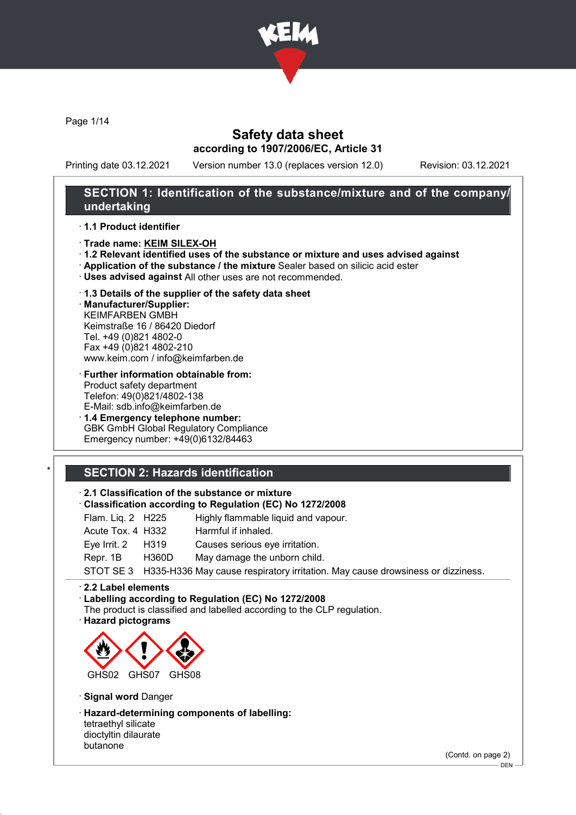

Page 1/14

### Safety data sheet according to 1907/2006/EC, Article 31

Printing date 03.12.2021 Version number 13.0 (replaces version 12.0) Revision: 03.12.2021

### SECTION 1: Identification of the substance/mixture and of the company/ undertaking

· 1.1 Product identifier

- · Trade name: KEIM SILEX-OH
- · 1.2 Relevant identified uses of the substance or mixture and uses advised against
- · Application of the substance / the mixture Sealer based on silicic acid ester
- · Uses advised against All other uses are not recommended.
- · 1.3 Details of the supplier of the safety data sheet

· Manufacturer/Supplier: KEIMFARBEN GMBH Keimstraße 16 / 86420 Diedorf Tel. +49 (0)821 4802-0 Fax +49 (0)821 4802-210 www.keim.com / info@keimfarben.de

· Further information obtainable from: Product safety department Telefon: 49(0)821/4802-138 E-Mail: sdb.info@keimfarben.de

· 1.4 Emergency telephone number: GBK GmbH Global Regulatory Compliance Emergency number: +49(0)6132/84463

## **SECTION 2: Hazards identification**

### · 2.1 Classification of the substance or mixture

- · Classification according to Regulation (EC) No 1272/2008
- Flam. Liq. 2 H225 Highly flammable liquid and vapour.

| Acute Tox. 4 H332 | Harmful if inhaled.                                                                      |
|-------------------|------------------------------------------------------------------------------------------|
| Eye Irrit. 2 H319 | Causes serious eye irritation.                                                           |
| Repr. 1B H360D    | May damage the unborn child.                                                             |
|                   | STOT SE 3 H335-H336 May cause respiratory irritation. May cause drowsiness or dizziness. |

#### · 2.2 Label elements

· Labelling according to Regulation (EC) No 1272/2008

- The product is classified and labelled according to the CLP regulation.
- · Hazard pictograms



· Signal word Danger

· Hazard-determining components of labelling: tetraethyl silicate dioctyltin dilaurate butanone

(Contd. on page 2)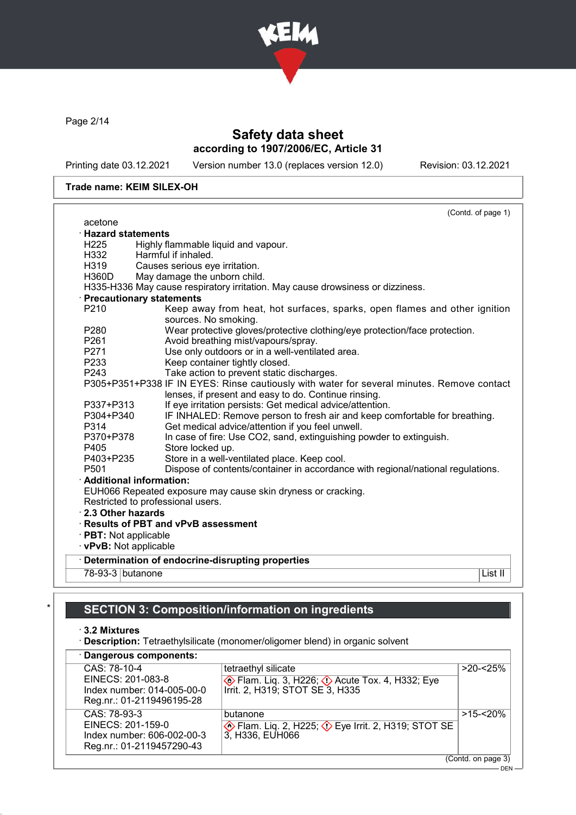

Page 2/14

# Safety data sheet according to 1907/2006/EC, Article 31

Printing date 03.12.2021 Version number 13.0 (replaces version 12.0) Revision: 03.12.2021

#### Trade name: KEIM SILEX-OH

|                           | (Contd. of page 1)                                                                                |
|---------------------------|---------------------------------------------------------------------------------------------------|
| acetone                   |                                                                                                   |
| $\cdot$ Hazard statements |                                                                                                   |
| H <sub>225</sub>          | Highly flammable liquid and vapour.                                                               |
| H332                      | Harmful if inhaled.                                                                               |
| H319                      | Causes serious eye irritation.                                                                    |
| H360D                     | May damage the unborn child.                                                                      |
|                           | H335-H336 May cause respiratory irritation. May cause drowsiness or dizziness.                    |
|                           | · Precautionary statements                                                                        |
| P210                      | Keep away from heat, hot surfaces, sparks, open flames and other ignition<br>sources. No smoking. |
| P280                      | Wear protective gloves/protective clothing/eye protection/face protection.                        |
| P261                      | Avoid breathing mist/vapours/spray.                                                               |
| P271                      | Use only outdoors or in a well-ventilated area.                                                   |
| P233                      | Keep container tightly closed.                                                                    |
| P243                      | Take action to prevent static discharges.                                                         |
|                           | P305+P351+P338 IF IN EYES: Rinse cautiously with water for several minutes. Remove contact        |
|                           | lenses, if present and easy to do. Continue rinsing.                                              |
| P337+P313                 | If eye irritation persists: Get medical advice/attention.                                         |
| P304+P340                 | IF INHALED: Remove person to fresh air and keep comfortable for breathing.                        |
| P314                      | Get medical advice/attention if you feel unwell.                                                  |
| P370+P378                 | In case of fire: Use CO2, sand, extinguishing powder to extinguish.                               |
| P405                      | Store locked up.                                                                                  |
| P403+P235                 | Store in a well-ventilated place. Keep cool.                                                      |
| P <sub>501</sub>          | Dispose of contents/container in accordance with regional/national regulations.                   |
|                           | · Additional information:                                                                         |
|                           | EUH066 Repeated exposure may cause skin dryness or cracking.                                      |
|                           | Restricted to professional users.                                                                 |
| 2.3 Other hazards         |                                                                                                   |
|                           | · Results of PBT and vPvB assessment                                                              |
| · PBT: Not applicable     |                                                                                                   |
| · vPvB: Not applicable    |                                                                                                   |
|                           | · Determination of endocrine-disrupting properties                                                |
| 78-93-3 butanone          | List II                                                                                           |
|                           |                                                                                                   |
|                           |                                                                                                   |

# SECTION 3: Composition/information on ingredients

· 3.2 Mixtures

· Description: Tetraethylsilicate (monomer/oligomer blend) in organic solvent

| · Dangerous components:                                                                      |                                                                                                               |                    |
|----------------------------------------------------------------------------------------------|---------------------------------------------------------------------------------------------------------------|--------------------|
| CAS: 78-10-4<br>EINECS: 201-083-8<br>Index number: 014-005-00-0                              | tetraethyl silicate<br><b>Example 23, H226; 4. Acute Tox. 4, H332; Eye</b><br>Irrit. 2, H319; STOT SE 3, H335 | $>20 - 25%$        |
| Reg.nr.: 01-2119496195-28                                                                    |                                                                                                               |                    |
| CAS: 78-93-3<br>EINECS: 201-159-0<br>Index number: 606-002-00-3<br>Reg.nr.: 01-2119457290-43 | butanone<br>$\diamondsuit$ Flam. Lig. 2, H225; $\diamondsuit$ Eye Irrit. 2, H319; STOT SE<br>3, H336, EUH066  | $>15 - 20%$        |
|                                                                                              |                                                                                                               | (Contd. on page 3) |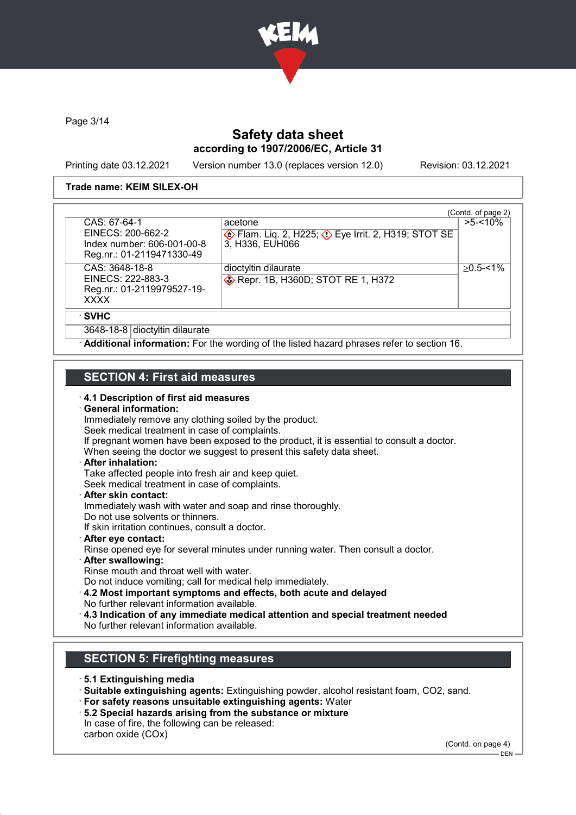

Page 3/14

## Safety data sheet according to 1907/2006/EC, Article 31

Printing date 03.12.2021 Version number 13.0 (replaces version 12.0) Revision: 03.12.2021

#### Trade name: KEIM SILEX-OH

| CAS: 67-64-1                                                                     | acetone                                                                       | (Contd. of page 2)<br>$>5 - 10\%$ |
|----------------------------------------------------------------------------------|-------------------------------------------------------------------------------|-----------------------------------|
| EINECS: 200-662-2<br>Index number: 606-001-00-8<br>Reg.nr.: 01-2119471330-49     | Flam. Liq. 2, H225; $\Diamond$ Eye Irrit. 2, H319; STOT SE<br>3, H336, EUH066 |                                   |
| CAS: 3648-18-8<br>EINECS: 222-883-3<br>Reg.nr.: 01-2119979527-19-<br><b>XXXX</b> | dioctyltin dilaurate<br>Repr. 1B, H360D; STOT RE 1, H372                      | $>0.5 - 1\%$                      |
| · SVHC                                                                           |                                                                               |                                   |
| 3648-18-8 dioctyltin dilaurate                                                   |                                                                               |                                   |

### SECTION 4: First aid measures

#### · 4.1 Description of first aid measures

#### · General information:

Immediately remove any clothing soiled by the product. Seek medical treatment in case of complaints. If pregnant women have been exposed to the product, it is essential to consult a doctor. When seeing the doctor we suggest to present this safety data sheet. · After inhalation:

Take affected people into fresh air and keep quiet. Seek medical treatment in case of complaints.

## · After skin contact:

Immediately wash with water and soap and rinse thoroughly. Do not use solvents or thinners.

If skin irritation continues, consult a doctor.

- · After eye contact: Rinse opened eye for several minutes under running water. Then consult a doctor.
- · After swallowing: Rinse mouth and throat well with water. Do not induce vomiting; call for medical help immediately.

· 4.2 Most important symptoms and effects, both acute and delayed

- 
- No further relevant information available.
- · 4.3 Indication of any immediate medical attention and special treatment needed No further relevant information available.

## SECTION 5: Firefighting measures

- · 5.1 Extinguishing media
- · Suitable extinguishing agents: Extinguishing powder, alcohol resistant foam, CO2, sand.
- · For safety reasons unsuitable extinguishing agents: Water
- · 5.2 Special hazards arising from the substance or mixture
- In case of fire, the following can be released:
- carbon oxide (COx)

(Contd. on page 4)

 $-$  DEN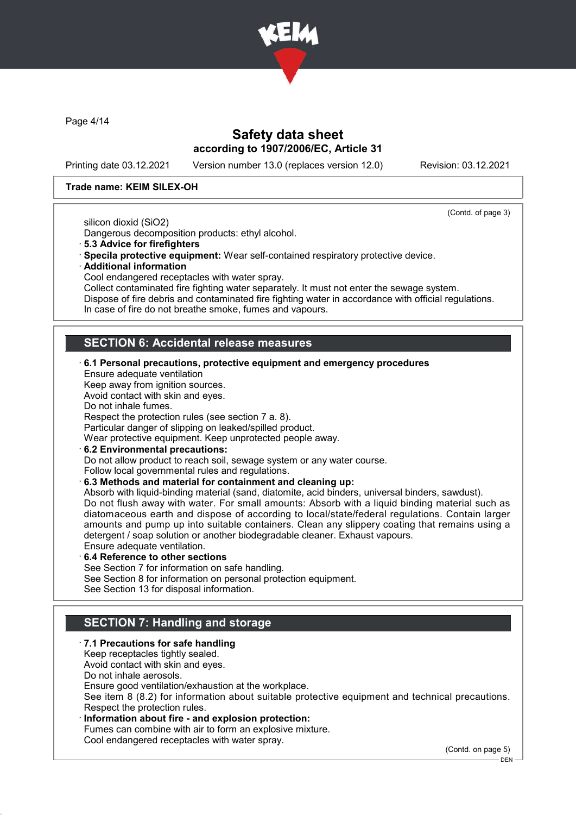

Page 4/14

### Safety data sheet according to 1907/2006/EC, Article 31

Printing date 03.12.2021 Version number 13.0 (replaces version 12.0) Revision: 03.12.2021

#### Trade name: KEIM SILEX-OH

(Contd. of page 3)

silicon dioxid (SiO2)

Dangerous decomposition products: ethyl alcohol.

- · 5.3 Advice for firefighters
- · Specila protective equipment: Wear self-contained respiratory protective device.
- · Additional information

Cool endangered receptacles with water spray.

Collect contaminated fire fighting water separately. It must not enter the sewage system. Dispose of fire debris and contaminated fire fighting water in accordance with official regulations. In case of fire do not breathe smoke, fumes and vapours.

## SECTION 6: Accidental release measures

· 6.1 Personal precautions, protective equipment and emergency procedures Ensure adequate ventilation Keep away from ignition sources. Avoid contact with skin and eyes. Do not inhale fumes. Respect the protection rules (see section 7 a. 8). Particular danger of slipping on leaked/spilled product. Wear protective equipment. Keep unprotected people away. 6.2 Environmental precautions:

Do not allow product to reach soil, sewage system or any water course. Follow local governmental rules and regulations.

· 6.3 Methods and material for containment and cleaning up:

Absorb with liquid-binding material (sand, diatomite, acid binders, universal binders, sawdust). Do not flush away with water. For small amounts: Absorb with a liquid binding material such as diatomaceous earth and dispose of according to local/state/federal regulations. Contain larger amounts and pump up into suitable containers. Clean any slippery coating that remains using a detergent / soap solution or another biodegradable cleaner. Exhaust vapours. Ensure adequate ventilation.

6.4 Reference to other sections

See Section 7 for information on safe handling.

See Section 8 for information on personal protection equipment.

See Section 13 for disposal information.

# SECTION 7: Handling and storage

### · 7.1 Precautions for safe handling

Keep receptacles tightly sealed. Avoid contact with skin and eyes. Do not inhale aerosols. Ensure good ventilation/exhaustion at the workplace.

See item 8 (8.2) for information about suitable protective equipment and technical precautions. Respect the protection rules.

#### Information about fire - and explosion protection:

Fumes can combine with air to form an explosive mixture. Cool endangered receptacles with water spray.

(Contd. on page 5)

 $-$  DFN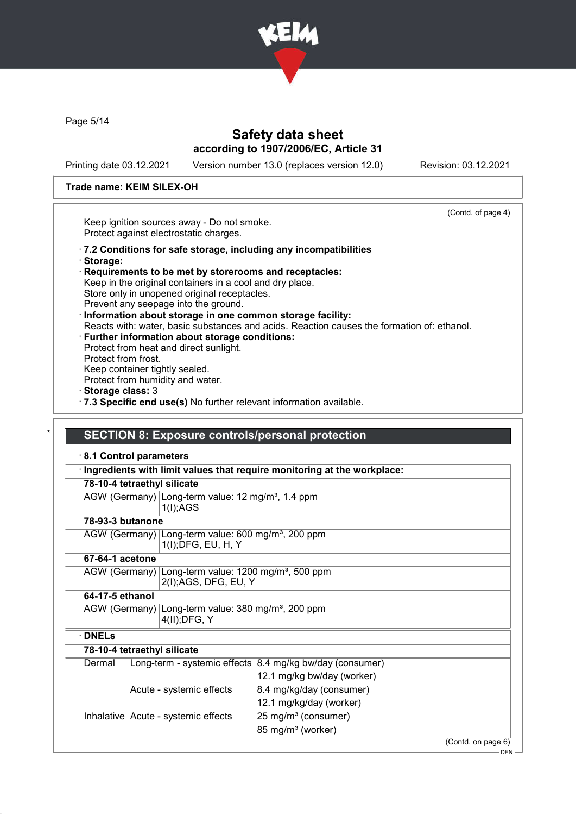

Page 5/14

## Safety data sheet according to 1907/2006/EC, Article 31

Printing date 03.12.2021 Version number 13.0 (replaces version 12.0) Revision: 03.12.2021

(Contd. of page 4)

#### Trade name: KEIM SILEX-OH

Keep ignition sources away - Do not smoke. Protect against electrostatic charges.

- · 7.2 Conditions for safe storage, including any incompatibilities
- · Storage:
- · Requirements to be met by storerooms and receptacles: Keep in the original containers in a cool and dry place. Store only in unopened original receptacles. Prevent any seepage into the ground.
- · Information about storage in one common storage facility: Reacts with: water, basic substances and acids. Reaction causes the formation of: ethanol. Further information about storage conditions:
- Protect from heat and direct sunlight. Protect from frost. Keep container tightly sealed. Protect from humidity and water.
- · Storage class: 3
- · 7.3 Specific end use(s) No further relevant information available.

### SECTION 8: Exposure controls/personal protection

| 8.1 Control parameters      |                                                                                          |                                                                         |                    |
|-----------------------------|------------------------------------------------------------------------------------------|-------------------------------------------------------------------------|--------------------|
|                             |                                                                                          | Ingredients with limit values that require monitoring at the workplace: |                    |
| 78-10-4 tetraethyl silicate |                                                                                          |                                                                         |                    |
|                             | AGW (Germany) Long-term value: 12 mg/m <sup>3</sup> , 1.4 ppm<br>1(I);AGS                |                                                                         |                    |
| 78-93-3 butanone            |                                                                                          |                                                                         |                    |
|                             | AGW (Germany) Long-term value: 600 mg/m <sup>3</sup> , 200 ppm<br>1(I); DFG, EU, H, Y    |                                                                         |                    |
| 67-64-1 acetone             |                                                                                          |                                                                         |                    |
|                             | AGW (Germany) Long-term value: 1200 mg/m <sup>3</sup> , 500 ppm<br>2(I); AGS, DFG, EU, Y |                                                                         |                    |
| 64-17-5 ethanol             |                                                                                          |                                                                         |                    |
|                             | AGW (Germany) Long-term value: 380 mg/m <sup>3</sup> , 200 ppm<br>$4(II);$ DFG, Y        |                                                                         |                    |
| <b>DNELs</b>                |                                                                                          |                                                                         |                    |
| 78-10-4 tetraethyl silicate |                                                                                          |                                                                         |                    |
| Dermal                      |                                                                                          | Long-term - systemic effects $ 8.4 \text{ mg/kg}$ bw/day (consumer)     |                    |
|                             |                                                                                          | 12.1 mg/kg bw/day (worker)                                              |                    |
|                             | Acute - systemic effects                                                                 | 8.4 mg/kg/day (consumer)                                                |                    |
|                             |                                                                                          | 12.1 mg/kg/day (worker)                                                 |                    |
|                             | Inhalative Acute - systemic effects                                                      | 25 mg/m <sup>3</sup> (consumer)                                         |                    |
|                             |                                                                                          | 85 mg/m <sup>3</sup> (worker)                                           |                    |
|                             |                                                                                          |                                                                         | (Contd. on page 6) |

DEN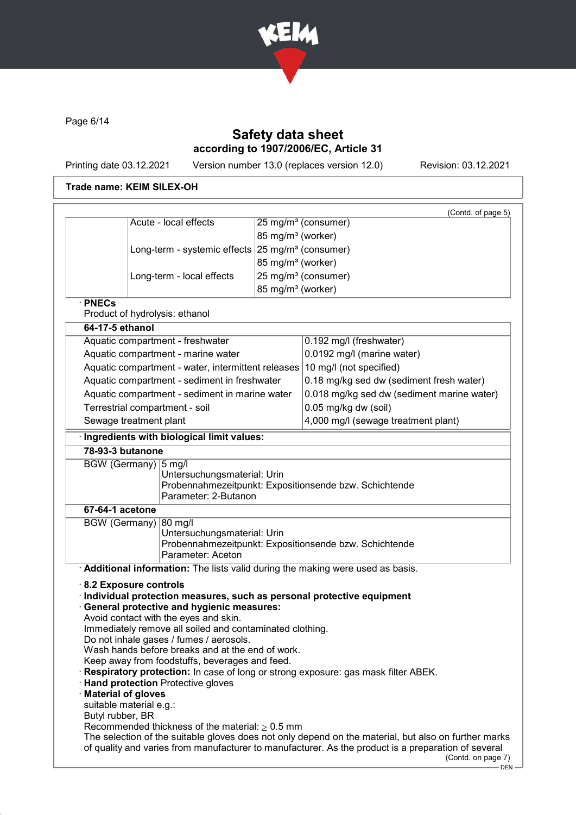

Page 6/14

# Safety data sheet according to 1907/2006/EC, Article 31

Printing date 03.12.2021 Version number 13.0 (replaces version 12.0) Revision: 03.12.2021

### Trade name: KEIM SILEX-OH

|                                         |                                                                               |                               | (Contd. of page 5)                                                                |
|-----------------------------------------|-------------------------------------------------------------------------------|-------------------------------|-----------------------------------------------------------------------------------|
|                                         | Acute - local effects                                                         |                               | 25 mg/m <sup>3</sup> (consumer)                                                   |
|                                         |                                                                               | 85 mg/m <sup>3</sup> (worker) |                                                                                   |
|                                         | Long-term - systemic effects                                                  |                               | 25 mg/m <sup>3</sup> (consumer)                                                   |
|                                         |                                                                               | 85 mg/m <sup>3</sup> (worker) |                                                                                   |
|                                         | Long-term - local effects                                                     |                               | 25 mg/m <sup>3</sup> (consumer)                                                   |
|                                         |                                                                               | 85 mg/m <sup>3</sup> (worker) |                                                                                   |
| $\cdot$ PNECs                           | Product of hydrolysis: ethanol                                                |                               |                                                                                   |
| 64-17-5 ethanol                         |                                                                               |                               |                                                                                   |
|                                         | Aquatic compartment - freshwater                                              |                               | 0.192 mg/l (freshwater)                                                           |
|                                         | Aquatic compartment - marine water                                            |                               | 0.0192 mg/l (marine water)                                                        |
|                                         | Aquatic compartment - water, intermittent releases 10 mg/l (not specified)    |                               |                                                                                   |
|                                         | Aquatic compartment - sediment in freshwater                                  |                               | 0.18 mg/kg sed dw (sediment fresh water)                                          |
|                                         | Aquatic compartment - sediment in marine water                                |                               | 0.018 mg/kg sed dw (sediment marine water)                                        |
|                                         | Terrestrial compartment - soil                                                |                               | 0.05 mg/kg dw (soil)                                                              |
|                                         | Sewage treatment plant                                                        |                               | 4,000 mg/l (sewage treatment plant)                                               |
|                                         | · Ingredients with biological limit values:                                   |                               |                                                                                   |
| 78-93-3 butanone                        |                                                                               |                               |                                                                                   |
| 67-64-1 acetone<br><b>BGW (Germany)</b> | 80 mg/l                                                                       |                               |                                                                                   |
|                                         | Untersuchungsmaterial: Urin                                                   |                               | Probennahmezeitpunkt: Expositionsende bzw. Schichtende                            |
|                                         | Parameter: Aceton                                                             |                               |                                                                                   |
|                                         | Additional information: The lists valid during the making were used as basis. |                               |                                                                                   |
|                                         | 8.2 Exposure controls                                                         |                               |                                                                                   |
|                                         | Individual protection measures, such as personal protective equipment         |                               |                                                                                   |
|                                         |                                                                               |                               |                                                                                   |
|                                         | <b>General protective and hygienic measures:</b>                              |                               |                                                                                   |
|                                         | Avoid contact with the eyes and skin.                                         |                               |                                                                                   |
|                                         | Immediately remove all soiled and contaminated clothing.                      |                               |                                                                                   |
|                                         | Do not inhale gases / fumes / aerosols.                                       |                               |                                                                                   |
|                                         | Wash hands before breaks and at the end of work.                              |                               |                                                                                   |
|                                         | Keep away from foodstuffs, beverages and feed.                                |                               | Respiratory protection: In case of long or strong exposure: gas mask filter ABEK. |
|                                         | <b>Hand protection Protective gloves</b>                                      |                               |                                                                                   |
| · Material of gloves                    |                                                                               |                               |                                                                                   |
| suitable material e.g.:                 |                                                                               |                               |                                                                                   |
| Butyl rubber, BR                        | Recommended thickness of the material: $\geq 0.5$ mm                          |                               |                                                                                   |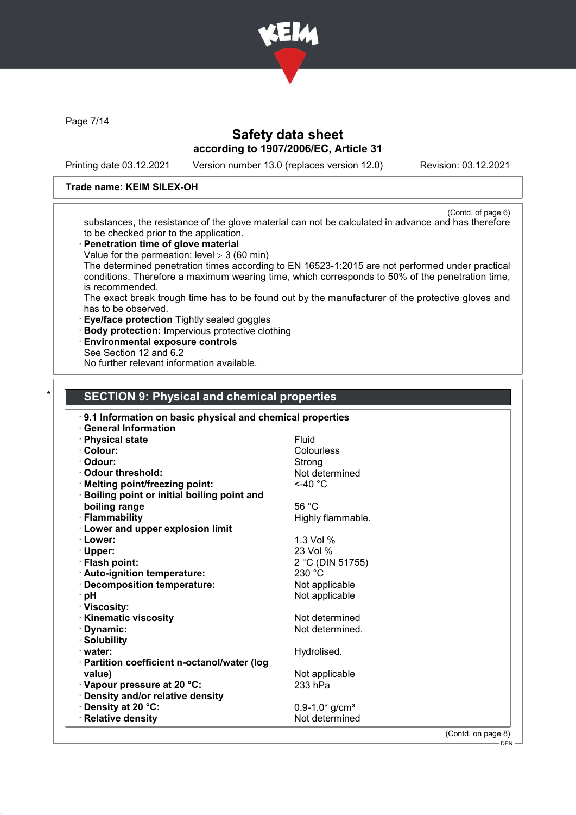

Page 7/14

## Safety data sheet according to 1907/2006/EC, Article 31

Printing date 03.12.2021 Version number 13.0 (replaces version 12.0) Revision: 03.12.2021

#### Trade name: KEIM SILEX-OH

(Contd. of page 6) substances, the resistance of the glove material can not be calculated in advance and has therefore to be checked prior to the application.

- · Penetration time of glove material
- Value for the permeation: level  $>$  3 (60 min)

The determined penetration times according to EN 16523-1:2015 are not performed under practical conditions. Therefore a maximum wearing time, which corresponds to 50% of the penetration time, is recommended.

The exact break trough time has to be found out by the manufacturer of the protective gloves and has to be observed.

- · Eye/face protection Tightly sealed goggles
- · Body protection: Impervious protective clothing
- · Environmental exposure controls See Section 12 and 6.2

No further relevant information available.

### **SECTION 9: Physical and chemical properties**

| 9.1 Information on basic physical and chemical properties |                                                    |
|-----------------------------------------------------------|----------------------------------------------------|
| <b>General Information</b>                                |                                                    |
| · Physical state                                          | Fluid                                              |
| · Colour:                                                 | Colourless                                         |
| · Odour:                                                  | Strong                                             |
| Odour threshold:                                          | Not determined                                     |
| <b>Melting point/freezing point:</b>                      | $<$ -40 $^{\circ}$ C                               |
| Boiling point or initial boiling point and                |                                                    |
| boiling range                                             | 56 $°C$                                            |
| · Flammability                                            | Highly flammable.                                  |
| <b>Lower and upper explosion limit</b>                    |                                                    |
| ∙ Lower:                                                  | 1.3 Vol %                                          |
| · Upper:                                                  | 23 Vol %                                           |
| · Flash point:                                            | 2 °C (DIN 51755)                                   |
| · Auto-ignition temperature:                              | 230 °C                                             |
| · Decomposition temperature:                              | Not applicable                                     |
| ∙ pH                                                      | Not applicable                                     |
| · Viscosity:                                              |                                                    |
| <b>Kinematic viscosity</b>                                | Not determined                                     |
| · Dynamic:                                                | Not determined.                                    |
| · Solubility                                              |                                                    |
| water:                                                    | Hydrolised.                                        |
| · Partition coefficient n-octanol/water (log              |                                                    |
| value)                                                    | Not applicable                                     |
| Vapour pressure at 20 °C:                                 | 233 hPa                                            |
| · Density and/or relative density                         |                                                    |
| · Density at 20 °C:                                       | $0.9 - 1.0*$ g/cm <sup>3</sup>                     |
| · Relative density                                        | Not determined                                     |
|                                                           | $\sqrt{2}$ and $\sqrt{2}$ and $\sqrt{2}$<br>$\sim$ |

(Contd. on page 8)  $-$  DEN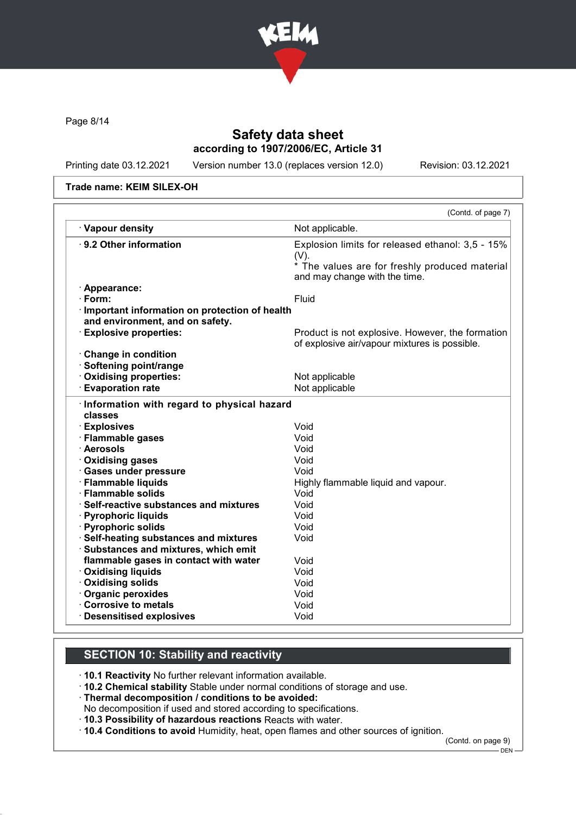

Page 8/14

## Safety data sheet according to 1907/2006/EC, Article 31

Printing date 03.12.2021 Version number 13.0 (replaces version 12.0) Revision: 03.12.2021

Trade name: KEIM SILEX-OH

|                                                                                                                                                                               | (Contd. of page 7)                                                                                                                             |
|-------------------------------------------------------------------------------------------------------------------------------------------------------------------------------|------------------------------------------------------------------------------------------------------------------------------------------------|
| · Vapour density                                                                                                                                                              | Not applicable.                                                                                                                                |
| ⋅ 9.2 Other information                                                                                                                                                       | Explosion limits for released ethanol: 3,5 - 15%<br>$(V)$ .<br>* The values are for freshly produced material<br>and may change with the time. |
| · Appearance:                                                                                                                                                                 |                                                                                                                                                |
| $\cdot$ Form:                                                                                                                                                                 | <b>Fluid</b>                                                                                                                                   |
| · Important information on protection of health<br>and environment, and on safety.                                                                                            |                                                                                                                                                |
| <b>Explosive properties:</b>                                                                                                                                                  | Product is not explosive. However, the formation<br>of explosive air/vapour mixtures is possible.                                              |
| Change in condition                                                                                                                                                           |                                                                                                                                                |
| · Softening point/range                                                                                                                                                       |                                                                                                                                                |
| · Oxidising properties:                                                                                                                                                       | Not applicable                                                                                                                                 |
| <b>Evaporation rate</b>                                                                                                                                                       | Not applicable                                                                                                                                 |
| Information with regard to physical hazard<br>classes<br>· Explosives                                                                                                         | Void                                                                                                                                           |
| · Flammable gases                                                                                                                                                             | Void                                                                                                                                           |
| · Aerosols                                                                                                                                                                    | Void                                                                                                                                           |
| · Oxidising gases                                                                                                                                                             | Void                                                                                                                                           |
| · Gases under pressure                                                                                                                                                        |                                                                                                                                                |
|                                                                                                                                                                               | Void                                                                                                                                           |
|                                                                                                                                                                               |                                                                                                                                                |
|                                                                                                                                                                               | Highly flammable liquid and vapour.<br>Void                                                                                                    |
|                                                                                                                                                                               | Void                                                                                                                                           |
|                                                                                                                                                                               | Void                                                                                                                                           |
|                                                                                                                                                                               | Void                                                                                                                                           |
| · Flammable liquids<br>· Flammable solids<br>· Self-reactive substances and mixtures<br>· Pyrophoric liquids<br>· Pyrophoric solids<br>· Self-heating substances and mixtures | Void                                                                                                                                           |
| · Substances and mixtures, which emit                                                                                                                                         |                                                                                                                                                |
| flammable gases in contact with water                                                                                                                                         | Void                                                                                                                                           |
| · Oxidising liquids                                                                                                                                                           | Void                                                                                                                                           |
| · Oxidising solids                                                                                                                                                            | Void                                                                                                                                           |
| · Organic peroxides                                                                                                                                                           | Void                                                                                                                                           |
| Corrosive to metals<br>· Desensitised explosives                                                                                                                              | Void<br>Void                                                                                                                                   |

## SECTION 10: Stability and reactivity

· 10.1 Reactivity No further relevant information available.

· 10.2 Chemical stability Stable under normal conditions of storage and use.

· Thermal decomposition / conditions to be avoided:

No decomposition if used and stored according to specifications.

· 10.3 Possibility of hazardous reactions Reacts with water.

· 10.4 Conditions to avoid Humidity, heat, open flames and other sources of ignition.

(Contd. on page 9)

DEN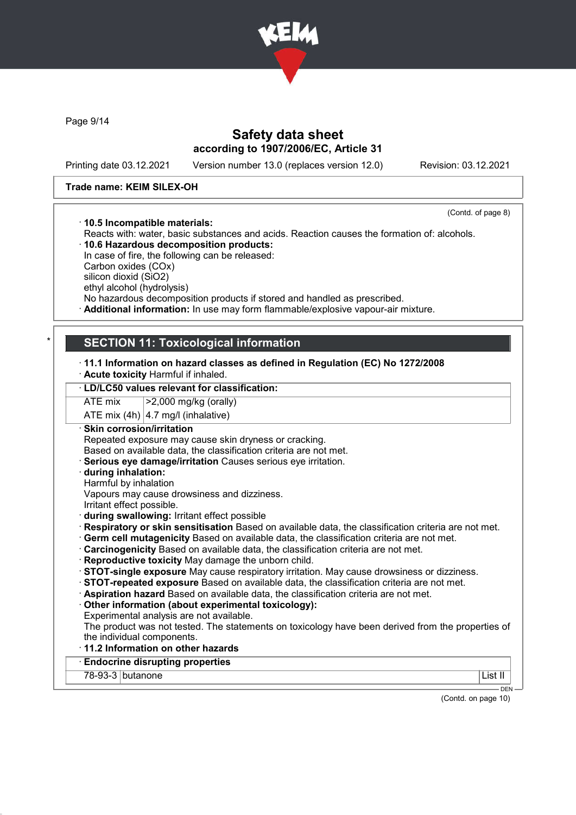

Page 9/14

### Safety data sheet according to 1907/2006/EC, Article 31

Printing date 03.12.2021 Version number 13.0 (replaces version 12.0) Revision: 03.12.2021

#### Trade name: KEIM SILEX-OH

(Contd. of page 8)

· 10.5 Incompatible materials: Reacts with: water, basic substances and acids. Reaction causes the formation of: alcohols. · 10.6 Hazardous decomposition products:

In case of fire, the following can be released: Carbon oxides (COx) silicon dioxid (SiO2) ethyl alcohol (hydrolysis)

No hazardous decomposition products if stored and handled as prescribed.

· Additional information: In use may form flammable/explosive vapour-air mixture.

### **SECTION 11: Toxicological information**

- · 11.1 Information on hazard classes as defined in Regulation (EC) No 1272/2008
- · Acute toxicity Harmful if inhaled.

#### · LD/LC50 values relevant for classification:

ATE mix >2,000 mg/kg (orally)

ATE mix  $(4h)$  | 4.7 mg/l (inhalative)

- · Skin corrosion/irritation Repeated exposure may cause skin dryness or cracking.
- Based on available data, the classification criteria are not met.
- Serious eve damage/irritation Causes serious eve irritation.
- · during inhalation: Harmful by inhalation
- Vapours may cause drowsiness and dizziness.
- Irritant effect possible.
- · during swallowing: Irritant effect possible
- · Respiratory or skin sensitisation Based on available data, the classification criteria are not met.
- · Germ cell mutagenicity Based on available data, the classification criteria are not met.
- · Carcinogenicity Based on available data, the classification criteria are not met.
- · Reproductive toxicity May damage the unborn child.
- · STOT-single exposure May cause respiratory irritation. May cause drowsiness or dizziness.
- · STOT-repeated exposure Based on available data, the classification criteria are not met.
- · Aspiration hazard Based on available data, the classification criteria are not met.
- · Other information (about experimental toxicology):
- Experimental analysis are not available.
- The product was not tested. The statements on toxicology have been derived from the properties of the individual components.
- · 11.2 Information on other hazards
- **Endocrine disrupting properties**

78-93-3 butanone List II

DEN

(Contd. on page 10)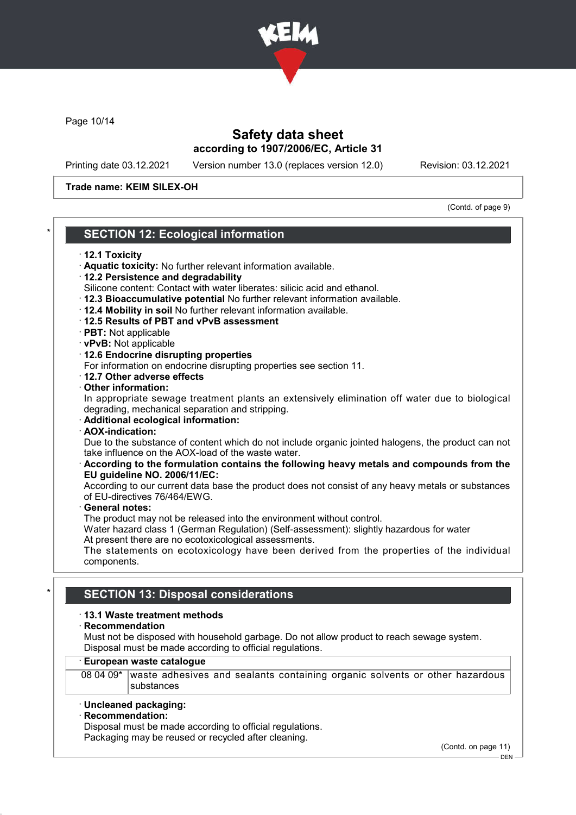

Page 10/14

## Safety data sheet according to 1907/2006/EC, Article 31

Printing date 03.12.2021 Version number 13.0 (replaces version 12.0) Revision: 03.12.2021

#### Trade name: KEIM SILEX-OH

(Contd. of page 9)

### **SECTION 12: Ecological information**

#### · 12.1 Toxicity

- · Aquatic toxicity: No further relevant information available.
- · 12.2 Persistence and degradability
- Silicone content: Contact with water liberates: silicic acid and ethanol.
- · 12.3 Bioaccumulative potential No further relevant information available.
- · 12.4 Mobility in soil No further relevant information available.
- · 12.5 Results of PBT and vPvB assessment
- · PBT: Not applicable
- · vPvB: Not applicable
- · 12.6 Endocrine disrupting properties

For information on endocrine disrupting properties see section 11.

- · 12.7 Other adverse effects
- · Other information:

In appropriate sewage treatment plants an extensively elimination off water due to biological degrading, mechanical separation and stripping.

- · Additional ecological information:
- · AOX-indication:

Due to the substance of content which do not include organic jointed halogens, the product can not take influence on the AOX-load of the waste water.

#### · According to the formulation contains the following heavy metals and compounds from the EU guideline NO. 2006/11/EC:

According to our current data base the product does not consist of any heavy metals or substances of EU-directives 76/464/EWG.

General notes:

The product may not be released into the environment without control.

Water hazard class 1 (German Regulation) (Self-assessment): slightly hazardous for water At present there are no ecotoxicological assessments.

The statements on ecotoxicology have been derived from the properties of the individual components.

### **SECTION 13: Disposal considerations**

#### · 13.1 Waste treatment methods

· Recommendation

Must not be disposed with household garbage. Do not allow product to reach sewage system. Disposal must be made according to official regulations.

#### · European waste catalogue

08 04 09\* waste adhesives and sealants containing organic solvents or other hazardous substances

#### · Uncleaned packaging:

#### · Recommendation:

Disposal must be made according to official regulations. Packaging may be reused or recycled after cleaning.

(Contd. on page 11)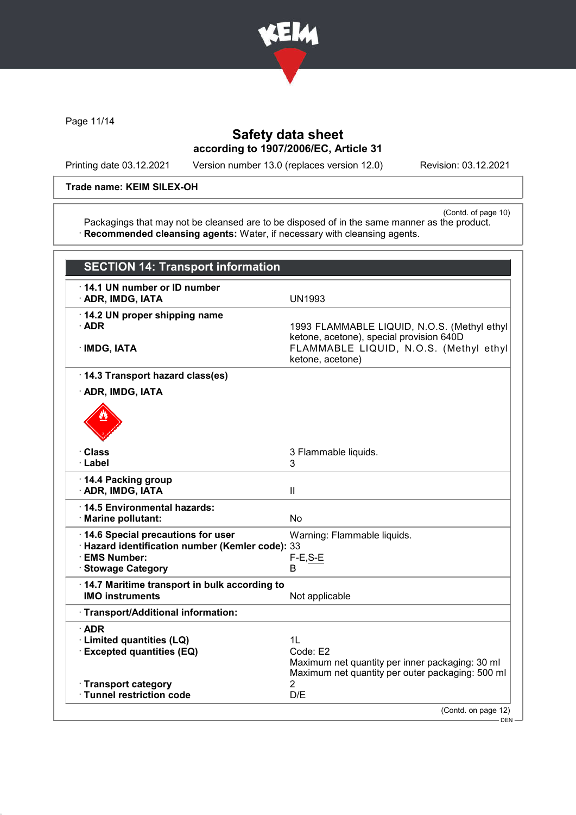

Page 11/14

# Safety data sheet according to 1907/2006/EC, Article 31

Printing date 03.12.2021 Version number 13.0 (replaces version 12.0) Revision: 03.12.2021

#### Trade name: KEIM SILEX-OH

(Contd. of page 10) Packagings that may not be cleansed are to be disposed of in the same manner as the product. · Recommended cleansing agents: Water, if necessary with cleansing agents.

| <b>SECTION 14: Transport information</b>                                                                                     |                                                                                                                                                       |
|------------------------------------------------------------------------------------------------------------------------------|-------------------------------------------------------------------------------------------------------------------------------------------------------|
| 14.1 UN number or ID number<br>· ADR, IMDG, IATA                                                                             | <b>UN1993</b>                                                                                                                                         |
| 14.2 UN proper shipping name<br>$\cdot$ ADR<br>$\cdot$ IMDG, IATA                                                            | 1993 FLAMMABLE LIQUID, N.O.S. (Methyl ethyl<br>ketone, acetone), special provision 640D<br>FLAMMABLE LIQUID, N.O.S. (Methyl ethyl<br>ketone, acetone) |
| · 14.3 Transport hazard class(es)                                                                                            |                                                                                                                                                       |
| · ADR, IMDG, IATA                                                                                                            |                                                                                                                                                       |
|                                                                                                                              |                                                                                                                                                       |
| · Class                                                                                                                      | 3 Flammable liquids.                                                                                                                                  |
| · Label                                                                                                                      | 3                                                                                                                                                     |
| 14.4 Packing group<br>· ADR, IMDG, IATA                                                                                      | Ш                                                                                                                                                     |
| 14.5 Environmental hazards:<br>· Marine pollutant:                                                                           | No                                                                                                                                                    |
| 14.6 Special precautions for user<br>· Hazard identification number (Kemler code): 33<br>· EMS Number:<br>· Stowage Category | Warning: Flammable liquids.<br>$F-E, S-E$<br>в                                                                                                        |
| 14.7 Maritime transport in bulk according to<br><b>IMO instruments</b>                                                       | Not applicable                                                                                                                                        |
| · Transport/Additional information:                                                                                          |                                                                                                                                                       |
| $\cdot$ ADR<br>· Limited quantities (LQ)<br><b>Excepted quantities (EQ)</b>                                                  | 1L<br>Code: E2<br>Maximum net quantity per inner packaging: 30 ml<br>Maximum net quantity per outer packaging: 500 ml                                 |
| · Transport category<br>· Tunnel restriction code                                                                            | $\overline{2}$<br>D/E                                                                                                                                 |
|                                                                                                                              |                                                                                                                                                       |
|                                                                                                                              | (Contd. on page 12)<br>DEN-                                                                                                                           |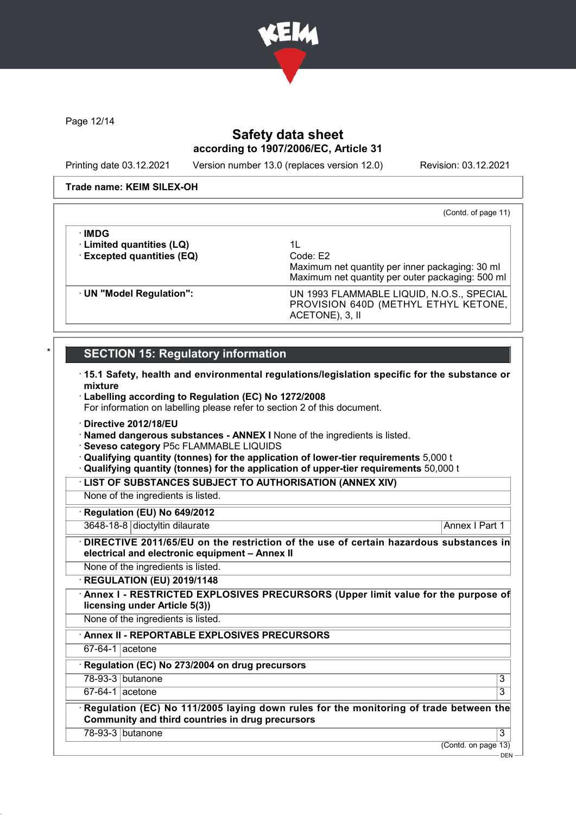

Page 12/14

 $\sim$   $-$ 

### Safety data sheet according to 1907/2006/EC, Article 31

Printing date 03.12.2021 Version number 13.0 (replaces version 12.0) Revision: 03.12.2021

#### Trade name: KEIM SILEX-OH

(Contd. of page 11)

| ∙IMDG<br>· Limited quantities (LQ)<br>$\cdot$ Excepted quantities (EQ) | 11<br>Code: E2<br>Maximum net quantity per inner packaging: 30 ml<br>Maximum net quantity per outer packaging: 500 ml |
|------------------------------------------------------------------------|-----------------------------------------------------------------------------------------------------------------------|
| · UN "Model Regulation":                                               | UN 1993 FLAMMABLE LIQUID, N.O.S., SPECIAL<br>PROVISION 640D (METHYL ETHYL KETONE,<br>ACETONE), 3, II                  |

## **SECTION 15: Regulatory information**

- · 15.1 Safety, health and environmental regulations/legislation specific for the substance or mixture
- · Labelling according to Regulation (EC) No 1272/2008
- For information on labelling please refer to section 2 of this document.
- · Directive 2012/18/EU
- · Named dangerous substances ANNEX I None of the ingredients is listed.
- · Seveso category P5c FLAMMABLE LIQUIDS
- · Qualifying quantity (tonnes) for the application of lower-tier requirements 5,000 t
- · Qualifying quantity (tonnes) for the application of upper-tier requirements 50,000 t
- · LIST OF SUBSTANCES SUBJECT TO AUTHORISATION (ANNEX XIV)

None of the ingredients is listed.

Regulation (EU) No 649/2012

3648-18-8 dioctyltin dilaurate Annual Communication and Annex I Part 1

DIRECTIVE 2011/65/EU on the restriction of the use of certain hazardous substances in electrical and electronic equipment – Annex II

None of the ingredients is listed.

· REGULATION (EU) 2019/1148

Annex I - RESTRICTED EXPLOSIVES PRECURSORS (Upper limit value for the purpose of licensing under Article 5(3))

None of the ingredients is listed.

· Annex II - REPORTABLE EXPLOSIVES PRECURSORS

67-64-1 acetone

Regulation (EC) No 273/2004 on drug precursors

78-93-3 butanone 3

 $67-64-1$  acetone 3

Regulation (EC) No 111/2005 laying down rules for the monitoring of trade between the Community and third countries in drug precursors

78-93-3 butanone 3

(Contd. on page 13)

DEN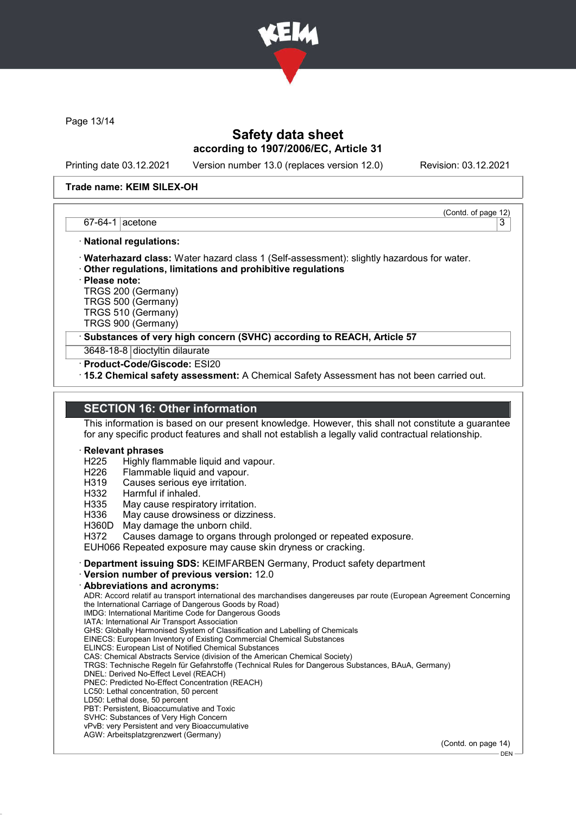

Page 13/14

### Safety data sheet according to 1907/2006/EC, Article 31

Printing date 03.12.2021 Version number 13.0 (replaces version 12.0) Revision: 03.12.2021

(Contd. of page 12)

#### Trade name: KEIM SILEX-OH

#### $67-64-1$  acetone  $\vert$  3

#### · National regulations:

- · Waterhazard class: Water hazard class 1 (Self-assessment): slightly hazardous for water.
- · Other regulations, limitations and prohibitive regulations

· Please note:

TRGS 200 (Germany)

TRGS 500 (Germany) TRGS 510 (Germany)

TRGS 900 (Germany)

Substances of very high concern (SVHC) according to REACH, Article 57

3648-18-8 dioctyltin dilaurate

· Product-Code/Giscode: ESI20

· 15.2 Chemical safety assessment: A Chemical Safety Assessment has not been carried out.

### SECTION 16: Other information

This information is based on our present knowledge. However, this shall not constitute a guarantee for any specific product features and shall not establish a legally valid contractual relationship.

#### **Relevant phrases**

- H225 Highly flammable liquid and vapour.<br>H226 Flammable liquid and vapour.
- Flammable liquid and vapour.
- H319 Causes serious eye irritation.
- H332 Harmful if inhaled.
- H335 May cause respiratory irritation.
- H336 May cause drowsiness or dizziness.
- H360D May damage the unborn child.
- H372 Causes damage to organs through prolonged or repeated exposure.

EUH066 Repeated exposure may cause skin dryness or cracking.

- · Department issuing SDS: KEIMFARBEN Germany, Product safety department
- · Version number of previous version: 12.0
- · Abbreviations and acronyms:

ADR: Accord relatif au transport international des marchandises dangereuses par route (European Agreement Concerning the International Carriage of Dangerous Goods by Road)

- IMDG: International Maritime Code for Dangerous Goods IATA: International Air Transport Association
- GHS: Globally Harmonised System of Classification and Labelling of Chemicals
- EINECS: European Inventory of Existing Commercial Chemical Substances
- ELINCS: European List of Notified Chemical Substances
- CAS: Chemical Abstracts Service (division of the American Chemical Society)
- TRGS: Technische Regeln für Gefahrstoffe (Technical Rules for Dangerous Substances, BAuA, Germany)
- DNEL: Derived No-Effect Level (REACH)
- PNEC: Predicted No-Effect Concentration (REACH)
- LC50: Lethal concentration, 50 percent
- LD50: Lethal dose, 50 percent
- PBT: Persistent, Bioaccumulative and Toxic SVHC: Substances of Very High Concern
- vPvB: very Persistent and very Bioaccumulative
- AGW: Arbeitsplatzgrenzwert (Germany)

(Contd. on page 14)